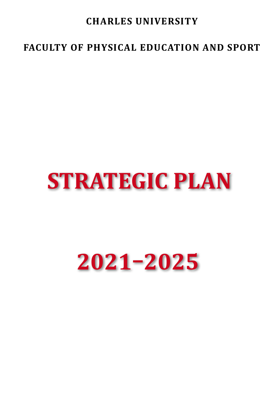# **CHARLES UNIVERSITY**

# **FACULTY OF PHYSICAL EDUCATION AND SPORT**

# **STRATEGIC PLAN**

# **2021–2025**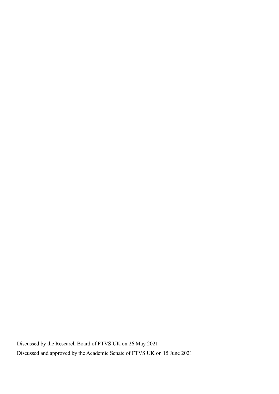Discussed by the Research Board of FTVS UK on 26 May 2021 Discussed and approved by the Academic Senate of FTVS UK on 15 June 2021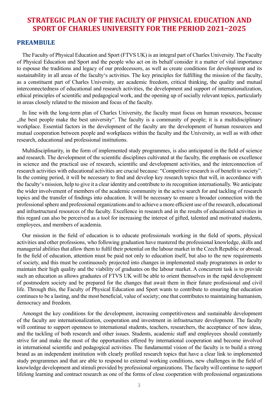# **Strategic Plan of the Faculty of Physical Education and Sport of Charles University for the period 2021–2025**

#### **Preambule**

The Faculty of Physical Education and Sport (FTVS UK) is an integral part of Charles University. The Faculty of Physical Education and Sport and the people who act on its behalf consider it a matter of vital importance to espouse the traditions and legacy of our predecessors, as well as create conditions for development and its sustainability in all areas of the faculty's activities. The key principles for fulfilling the mission of the faculty, as a constituent part of Charles University, are academic freedom, critical thinking, the quality and mutual interconnectedness of educational and research activities, the development and support of internationalization, ethical principles of scientific and pedagogical work, and the opening up of socially relevant topics, particularly in areas closely related to the mission and focus of the faculty.

In line with the long-term plan of Charles University, the faculty must focus on human resources, because , the best people make the best university". The faculty is a community of people; it is a multidisciplinary workplace. Essential factors in the development of the faculty are the development of human resources and mutual cooperation between people and workplaces within the faculty and the University, as well as with other research, educational and professional institutions.

Multidisciplinarity, in the form of implemented study programmes, is also anticipated in the field of science and research. The development of the scientific disciplines cultivated at the faculty, the emphasis on excellence in science and the practical use of research, scientific and development activities, and the interconnection of research activities with educational activities are crucial because: "Competitive research is of benefit to society". In the coming period, it will be necessary to find and develop key research topics that will, in accordance with the faculty's mission, help to give it a clear identity and contribute to its recognition internationally. We anticipate the wider involvement of members of the academic community in the active search for and tackling of research topics and the transfer of findings into education. It will be necessary to ensure a broader connection with the professional sphere and professional organizations and to achieve a more efficient use of the research, educational and infrastructural resources of the faculty. Excellence in research and in the results of educational activities in this regard can also be perceived as a tool for increasing the interest of gifted, talented and motivated students, employees, and members of academia.

Our mission in the field of education is to educate professionals working in the field of sports, physical activities and other professions, who following graduation have mastered the professional knowledge, skills and managerial abilities that allow them to fulfil their potential on the labour market in the Czech Republic or abroad. In the field of education, attention must be paid not only to education itself, but also to the new requirements of society, and this must be continuously projected into changes in implemented study programmes in order to maintain their high quality and the viability of graduates on the labour market. A concurrent task is to provide such an education as allows graduates of FTVS UK will be able to orient themselves in the rapid development of postmodern society and be prepared for the changes that await them in their future professional and civil life. Through this, the Faculty of Physical Education and Sport wants to contribute to ensuring that education continues to be a lasting, and the most beneficial, value of society; one that contributes to maintaining humanism, democracy and freedom.

Amongst the key conditions for the development, increasing competitiveness and sustainable development of the faculty are internationalization, cooperation and investment in infrastructure development. The faculty will continue to support openness to international students, teachers, researchers, the acceptance of new ideas, and the tackling of both research and other issues. Students, academic staff and employees should constantly strive for and make the most of the opportunities offered by international cooperation and become involved in international scientific and pedagogical activities. The fundamental vision of the faculty is to build a strong brand as an independent institution with clearly profiled research topics that have a clear link to implemented study programmes and that are able to respond to external working conditions, new challenges in the field of knowledge development and stimuli provided by professional organizations. The faculty will continue to support lifelong learning and contract research as one of the forms of close cooperation with professional organizations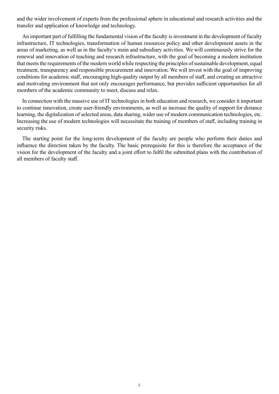and the wider involvement of experts from the professional sphere in educational and research activities and the transfer and application of knowledge and technology.

An important part of fulfilling the fundamental vision of the faculty is investment in the development of faculty infrastructure, IT technologies, transformation of human resources policy and other development assets in the areas of marketing, as well as in the faculty's main and subsidiary activities. We will continuously strive for the renewal and innovation of teaching and research infrastructure, with the goal of becoming a modern institution that meets the requirements of the modern world while respecting the principles of sustainable development, equal treatment, transparency and responsible procurement and innovation. We will invest with the goal of improving conditions for academic staff, encouraging high-quality output by all members of staff, and creating an attractive and motivating environment that not only encourages performance, but provides sufficient opportunities for all members of the academic community to meet, discuss and relax.

In connection with the massive use of IT technologies in both education and research, we consider it important to continue innovation, create user-friendly environments, as well as increase the quality of support for distance learning, the digitalization of selected areas, data sharing, wider use of modern communication technologies, etc. Increasing the use of modern technologies will necessitate the training of members of staff, including training in security risks.

The starting point for the long-term development of the faculty are people who perform their duties and influence the direction taken by the faculty. The basic prerequisite for this is therefore the acceptance of the vision for the development of the faculty and a joint effort to fulfil the submitted plans with the contribution of all members of faculty staff.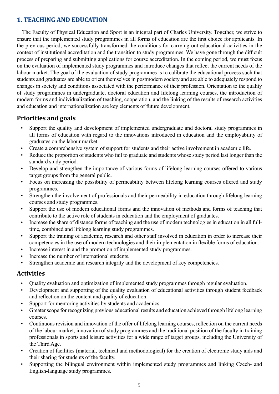#### **1. TEACHING AND EDUCATION**

The Faculty of Physical Education and Sport is an integral part of Charles University. Together, we strive to ensure that the implemented study programmes in all forms of education are the first choice for applicants. In the previous period, we successfully transformed the conditions for carrying out educational activities in the context of institutional accreditation and the transition to study programmes. We have gone through the difficult process of preparing and submitting applications for course accreditation. In the coming period, we must focus on the evaluation of implemented study programmes and introduce changes that reflect the current needs of the labour market. The goal of the evaluation of study programmes is to calibrate the educational process such that students and graduates are able to orient themselves in postmodern society and are able to adequately respond to changes in society and conditions associated with the performance of their profession. Orientation to the quality of study programmes in undergraduate, doctoral education and lifelong learning courses, the introduction of modern forms and individualization of teaching, cooperation, and the linking of the results of research activities and education and internationalization are key elements of future development.

#### **Priorities and goals**

- Support the quality and development of implemented undergraduate and doctoral study programmes in all forms of education with regard to the innovations introduced in education and the employability of graduates on the labour market.
- Create a comprehensive system of support for students and their active involvement in academic life.
- Reduce the proportion of students who fail to graduate and students whose study period last longer than the standard study period.
- Develop and strengthen the importance of various forms of lifelong learning courses offered to various target groups from the general public.
- Focus on increasing the possibility of permeability between lifelong learning courses offered and study programmes.
- Strengthen the involvement of professionals and their permeability in education through lifelong learning courses and study programmes.
- Support the use of modern educational forms and the innovation of methods and forms of teaching that contribute to the active role of students in education and the employment of graduates.
- Increase the share of distance forms of teaching and the use of modern technologies in education in all fulltime, combined and lifelong learning study programmes.
- Support the training of academic, research and other staff involved in education in order to increase their competencies in the use of modern technologies and their implementation in flexible forms of education.
- Increase interest in and the promotion of implemented study programmes.
- Increase the number of international students.
- Strengthen academic and research integrity and the development of key competencies.

- Quality evaluation and optimization of implemented study programmes through regular evaluation.
- Development and supporting of the quality evaluation of educational activities through student feedback and reflection on the content and quality of education.
- Support for mentoring activities by students and academics.
- Greater scope for recognizing previous educational results and education achieved through lifelong learning courses.
- Continuous revision and innovation of the offer of lifelong learning courses, reflection on the current needs of the labour market, innovation of study programmes and the traditional position of the faculty in training professionals in sports and leisure activities for a wide range of target groups, including the University of the Third Age.
- Creation of facilities (material, technical and methodological) for the creation of electronic study aids and their sharing for students of the faculty.
- Supporting the bilingual environment within implemented study programmes and linking Czech- and English-language study programmes.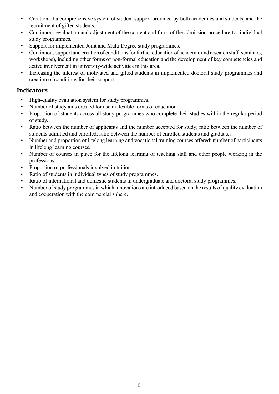- Creation of a comprehensive system of student support provided by both academics and students, and the recruitment of gifted students.
- Continuous evaluation and adjustment of the content and form of the admission procedure for individual study programmes.
- Support for implemented Joint and Multi Degree study programmes.
- Continuous support and creation of conditions for further education of academic and research staff (seminars, workshops), including other forms of non-formal education and the development of key competencies and active involvement in university-wide activities in this area.
- Increasing the interest of motivated and gifted students in implemented doctoral study programmes and creation of conditions for their support.

- High-quality evaluation system for study programmes.
- Number of study aids created for use in flexible forms of education.
- Proportion of students across all study programmes who complete their studies within the regular period of study.
- Ratio between the number of applicants and the number accepted for study; ratio between the number of students admitted and enrolled; ratio between the number of enrolled students and graduates.
- Number and proportion of lifelong learning and vocational training courses offered; number of participants in lifelong learning courses.
- Number of courses in place for the lifelong learning of teaching staff and other people working in the professions.
- Proportion of professionals involved in tuition.
- Ratio of students in individual types of study programmes.
- Ratio of international and domestic students in undergraduate and doctoral study programmes.
- Number of study programmes in which innovations are introduced based on the results of quality evaluation and cooperation with the commercial sphere.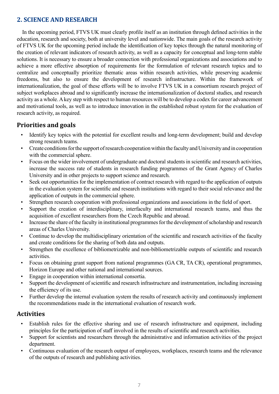#### **2. SCIENCE AND RESEARCH**

In the upcoming period, FTVS UK must clearly profile itself as an institution through defined activities in the education, research and society, both at university level and nationwide. The main goals of the research activity of FTVS UK for the upcoming period include the identification of key topics through the natural monitoring of the creation of relevant indicators of research activity, as well as a capacity for conceptual and long-term stable solutions. It is necessary to ensure a broader connection with professional organizations and associations and to achieve a more effective absorption of requirements for the formulation of relevant research topics and to centralize and conceptually prioritize thematic areas within research activities, while preserving academic freedoms, but also to ensure the development of research infrastructure. Within the framework of internationalization, the goal of these efforts will be to involve FTVS UK in a consortium research project of subject workplaces abroad and to significantly increase the internationalization of doctoral studies, and research activity as a whole. A key step with respect to human resources will be to develop a codex for career advancement and motivational tools, as well as to introduce innovation in the established robust system for the evaluation of research activity, as required.

#### **Priorities and goals**

- Identify key topics with the potential for excellent results and long-term development; build and develop strong research teams.
- Create conditions for the support of research cooperation within the faculty and University and in cooperation with the commercial sphere.
- Focus on the wider involvement of undergraduate and doctoral students in scientific and research activities, increase the success rate of students in research funding programmes of the Grant Agency of Charles University and in other projects to support science and research.
- Seek out opportunities for the implementation of contract research with regard to the application of outputs in the evaluation system for scientific and research institutions with regard to their social relevance and the application of outputs in the commercial sphere.
- Strengthen research cooperation with professional organizations and associations in the field of sport.
- Support the creation of interdisciplinary, interfaculty and international research teams, and thus the acquisition of excellent researchers from the Czech Republic and abroad.
- Increase the share of the faculty in institutional programmes for the development of scholarship and research areas of Charles University.
- Continue to develop the multidisciplinary orientation of the scientific and research activities of the faculty and create conditions for the sharing of both data and outputs.
- Strengthen the excellence of bibliometrizable and non-bibliometrizable outputs of scientific and research activities.
- Focus on obtaining grant support from national programmes (GA CR, TA CR), operational programmes, Horizon Europe and other national and international sources.
- Engage in cooperation within international consortia.
- Support the development of scientific and research infrastructure and instrumentation, including increasing the efficiency of its use.
- Further develop the internal evaluation system the results of research activity and continuously implement the recommendations made in the international evaluation of research work.

- Establish rules for the effective sharing and use of research infrastructure and equipment, including principles for the participation of staff involved in the results of scientific and research activities.
- Support for scientists and researchers through the administrative and information activities of the project department.
- Continuous evaluation of the research output of employees, workplaces, research teams and the relevance of the outputs of research and publishing activities.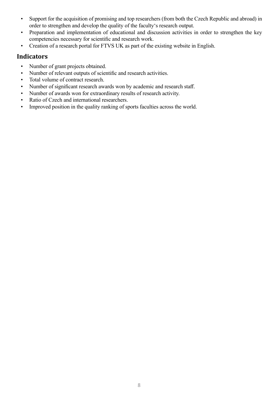- Support for the acquisition of promising and top researchers (from both the Czech Republic and abroad) in order to strengthen and develop the quality of the faculty's research output.
- Preparation and implementation of educational and discussion activities in order to strengthen the key competencies necessary for scientific and research work.
- Creation of a research portal for FTVS UK as part of the existing website in English.

- Number of grant projects obtained.
- Number of relevant outputs of scientific and research activities.
- Total volume of contract research.
- Number of significant research awards won by academic and research staff.
- Number of awards won for extraordinary results of research activity.
- Ratio of Czech and international researchers.
- Improved position in the quality ranking of sports faculties across the world.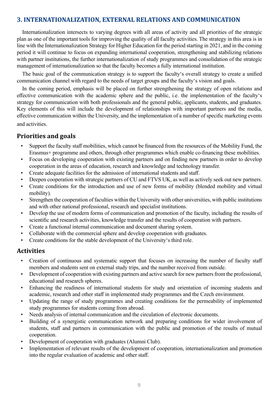#### **3. INTERNATIONALIZATION, EXTERNAL RELATIONS AND COMMUNICATION**

Internationalization intersects to varying degrees with all areas of activity and all priorities of the strategic plan as one of the important tools for improving the quality of all faculty activities. The strategy in this area is in line with the Internationalization Strategy for Higher Education for the period starting in 2021, and in the coming period it will continue to focus on expanding international cooperation, strengthening and stabilizing relations with partner institutions, the further internationalization of study programmes and consolidation of the strategic management of internationalization so that the faculty becomes a fully international institution.

The basic goal of the communication strategy is to support the faculty's overall strategy to create a unified communication channel with regard to the needs of target groups and the faculty's vision and goals.

In the coming period, emphasis will be placed on further strengthening the strategy of open relations and effective communication with the academic sphere and the public, i.e. the implementation of the faculty's strategy for communication with both professionals and the general public, applicants, students, and graduates. Key elements of this will include the development of relationships with important partners and the media, effective communication within the University, and the implementation of a number of specific marketing events and activities.

#### **Priorities and goals**

- Support the faculty staff mobilities, which cannot be financed from the resources of the Mobility Fund, the Erasmus+ programme and others, through other programmes which enable co-financing these mobilities.
- Focus on developing cooperation with existing partners and on finding new partners in order to develop cooperation in the areas of education, research and knowledge and technology transfer.
- Create adequate facilities for the admission of international students and staff.
- Deepen cooperation with strategic partners of CU and FTVS UK, as well as actively seek out new partners.
- Create conditions for the introduction and use of new forms of mobility (blended mobility and virtual mobility).
- Strengthen the cooperation of faculties within the University with other universities, with public institutions and with other national professional, research and specialist institutions.
- Develop the use of modern forms of communication and promotion of the faculty, including the results of scientific and research activities, knowledge transfer and the results of cooperation with partners.
- Create a functional internal communication and document sharing system.
- Collaborate with the commercial sphere and develop cooperation with graduates.
- Create conditions for the stable development of the University's third role.

- Creation of continuous and systematic support that focuses on increasing the number of faculty staff members and students sent on external study trips, and the number received from outside.
- Development of cooperation with existing partners and active search for new partners from the professional, educational and research spheres.
- Enhancing the readiness of international students for study and orientation of incoming students and academic, research and other staff in implemented study programmes and the Czech environment.
- Updating the range of study programmes and creating conditions for the permeability of implemented study programmes for students coming from abroad.
- Needs analysis of internal communication and the circulation of electronic documents.
- Building of a synergistic communication network and preparing conditions for wider involvement of students, staff and partners in communication with the public and promotion of the results of mutual cooperation.
- Development of cooperation with graduates (Alumni Club).
- Implementation of relevant results of the development of cooperation, internationalization and promotion into the regular evaluation of academic and other staff.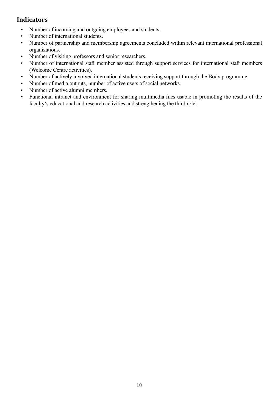- Number of incoming and outgoing employees and students.
- Number of international students.
- Number of partnership and membership agreements concluded within relevant international professional organizations.
- Number of visiting professors and senior researchers.
- Number of international staff member assisted through support services for international staff members (Welcome Centre activities).
- Number of actively involved international students receiving support through the Body programme.
- Number of media outputs, number of active users of social networks.
- Number of active alumni members.
- Functional intranet and environment for sharing multimedia files usable in promoting the results of the faculty's educational and research activities and strengthening the third role.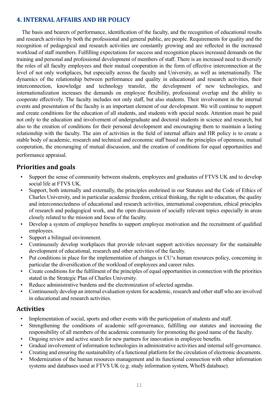#### **4. INTERNAL AFFAIRS AND HR POLICY**

The basis and bearers of performance, identification of the faculty, and the recognition of educational results and research activities by both the professional and general public, are people. Requirements for quality and the recognition of pedagogical and research activities are constantly growing and are reflected in the increased workload of staff members. Fulfilling expectations for success and recognition places increased demands on the training and personal and professional development of members of staff. There is an increased need to diversify the roles of all faculty employees and their mutual cooperation in the form of effective interconnection at the level of not only workplaces, but especially across the faculty and University, as well as internationally. The dynamics of the relationship between performance and quality in educational and research activities, their interconnection, knowledge and technology transfer, the development of new technologies, and internationalization increases the demands on employee flexibility, professional overlap and the ability to cooperate effectively. The faculty includes not only staff, but also students. Their involvement in the internal events and presentation of the faculty is an important element of our development. We will continue to support and create conditions for the education of all students, and students with special needs. Attention must be paid not only to the education and involvement of undergraduate and doctoral students in science and research, but also to the creation of conditions for their personal development and encouraging them to maintain a lasting relationship with the faculty. The aim of activities in the field of internal affairs and HR policy is to create a stable body of academic, research and technical and economic staff based on the principles of openness, mutual cooperation, the encouraging of mutual discussion, and the creation of conditions for equal opportunities and performance appraisal.

## **Priorities and goals**

- Support the sense of community between students, employees and graduates of FTVS UK and to develop social life at FTVS UK.
- Support, both internally and externally, the principles enshrined in our Statutes and the Code of Ethics of Charles University, and in particular academic freedom, critical thinking, the right to education, the quality and interconnectedness of educational and research activities, international cooperation, ethical principles of research and pedagogical work, and the open discussion of socially relevant topics especially in areas closely related to the mission and focus of the faculty.
- Develop a system of employee benefits to support employee motivation and the recruitment of qualified employees.
- Support a bilingual environment.
- Continuously develop workplaces that provide relevant support activities necessary for the sustainable development of educational, research and other activities of the faculty.
- Put conditions in place for the implementation of changes in CU's human resources policy, concerning in particular the diversification of the workload of employees and career rules.
- Create conditions for the fulfilment of the principles of equal opportunities in connection with the priorities stated in the Strategic Plan of Charles University.
- Reduce administrative burdens and the electronization of selected agendas.
- Continuously develop an internal evaluation system for academic, research and other staff who are involved in educational and research activities.

- Implementation of social, sports and other events with the participation of students and staff.
- Strengthening the conditions of academic self-governance, fulfilling our statutes and increasing the responsibility of all members of the academic community for promoting the good name of the faculty.
- Ongoing review and active search for new partners for innovation in employee benefits.
- Gradual involvement of information technologies in administrative activities and internal self-governance.
- Creating and ensuring the sustainability of a functional platform for the circulation of electronic documents.
- Modernization of the human resources management and its functional connection with other information systems and databases used at FTVS UK (e.g. study information system, WhoIS database).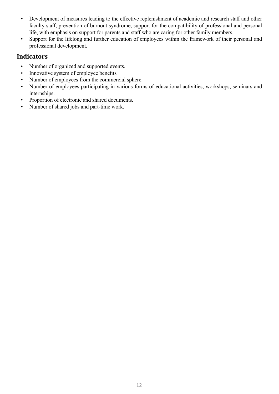- Development of measures leading to the effective replenishment of academic and research staff and other faculty staff, prevention of burnout syndrome, support for the compatibility of professional and personal life, with emphasis on support for parents and staff who are caring for other family members.
- Support for the lifelong and further education of employees within the framework of their personal and professional development.

- Number of organized and supported events.
- Innovative system of employee benefits
- Number of employees from the commercial sphere.
- Number of employees participating in various forms of educational activities, workshops, seminars and internships.
- Proportion of electronic and shared documents.
- Number of shared jobs and part-time work.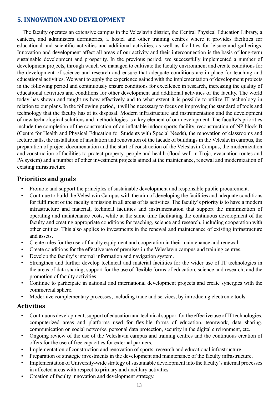#### **5. INNOVATION AND DEVELOPMENT**

The faculty operates an extensive campus in the Veleslavín district, the Central Physical Education Library, a canteen, and administers dormitories, a hostel and other training centres where it provides facilities for educational and scientific activities and additional activities, as well as facilities for leisure and gatherings. Innovation and development affect all areas of our activity and their interconnection is the basis of long-term sustainable development and prosperity. In the previous period, we successfully implemented a number of development projects, through which we managed to cultivate the faculty environment and create conditions for the development of science and research and ensure that adequate conditions are in place for teaching and educational activities. We want to apply the experience gained with the implementation of development projects in the following period and continuously ensure conditions for excellence in research, increasing the quality of educational activities and conditions for other development and additional activities of the faculty. The world today has shown and taught us how effectively and to what extent it is possible to utilize IT technology in relation to our plans. In the following period, it will be necessary to focus on improving the standard of tools and technology that the faculty has at its disposal. Modern infrastructure and instrumentation and the development of new technological solutions and methodologies is a key element of our development. The faculty's priorities include the completion of the construction of an inflatable indoor sports facility, reconstruction of NP block B (Centre for Health and Physical Education for Students with Special Needs), the renovation of classrooms and lecture halls, the installation of insulation and renovation of the facade of buildings in the Veleslavín campus, the preparation of project documentation and the start of construction of the Veleslavín Campus, the modernization and construction of facilities to protect property, people and health (flood wall in Troja, evacuation routes and PA system) and a number of other investment projects aimed at the maintenance, renewal and modernization of existing infrastructure.

## **Priorities and goals**

- Promote and support the principles of sustainable development and responsible public procurement.
- Continue to build the Veleslavín Campus with the aim of developing the facilities and adequate conditions for fulfilment of the faculty's mission in all areas of its activities. The faculty's priority is to have a modern infrastructure and material, technical facilities and instrumentation that support the minimization of operating and maintenance costs, while at the same time facilitating the continuous development of the faculty and creating appropriate conditions for teaching, science and research, including cooperation with other entities. This also applies to investments in the renewal and maintenance of existing infrastructure and assets.
- Create rules for the use of faculty equipment and cooperation in their maintenance and renewal.
- Create conditions for the effective use of premises in the Veleslavín campus and training centres.
- Develop the faculty's internal information and navigation system.
- Strengthen and further develop technical and material facilities for the wider use of IT technologies in the areas of data sharing, support for the use of flexible forms of education, science and research, and the promotion of faculty activities.
- Continue to participate in national and international development projects and create synergies with the commercial sphere.
- Modernize complementary processes, including trade and services, by introducing electronic tools.

- Continuous development, support of education and technical support for the effective use of IT technologies, computerized areas and platforms used for flexible forms of education, teamwork, data sharing, communication on social networks, personal data protection, security in the digital environment, etc.
- Ongoing review of the use of the Veleslavín campus and training centres and the continuous creation of offers for the use of free capacities for external partners.
- Implementation of construction and renovation of sports, research and educational infrastructure.
- Preparation of strategic investments in the development and maintenance of the faculty infrastructure.
- Implementation of University-wide strategy of sustainable development into the faculty's internal processes in affected areas with respect to primary and ancillary activities.
- Creation of faculty innovation and development strategy.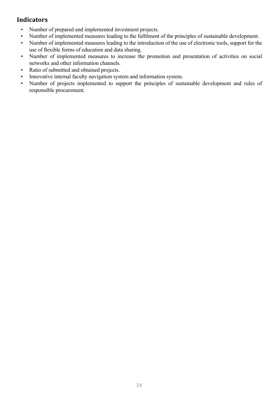- Number of prepared and implemented investment projects.
- Number of implemented measures leading to the fulfilment of the principles of sustainable development.
- Number of implemented measures leading to the introduction of the use of electronic tools, support for the use of flexible forms of education and data sharing.
- Number of implemented measures to increase the promotion and presentation of activities on social networks and other information channels.
- Ratio of submitted and obtained projects.
- Innovative internal faculty navigation system and information system.
- Number of projects implemented to support the principles of sustainable development and rules of responsible procurement.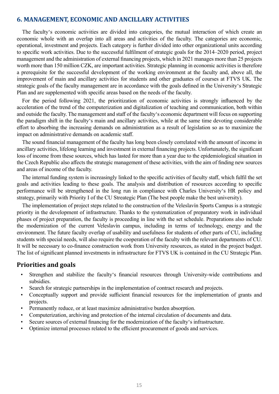#### **6. MANAGEMENT, ECONOMIC AND ANCILLARY ACTIVITIES**

The faculty's economic activities are divided into categories, the mutual interaction of which create an economic whole with an overlap into all areas and activities of the faculty. The categories are economic, operational, investment and projects. Each category is further divided into other organizational units according to specific work activities. Due to the successful fulfilment of strategic goals for the 2014–2020 period, project management and the administration of external financing projects, which in 2021 manages more than 25 projects worth more than 150 million CZK, are important activities. Strategic planning in economic activities is therefore a prerequisite for the successful development of the working environment at the faculty and, above all, the improvement of main and ancillary activities for students and other graduates of courses at FTVS UK. The strategic goals of the faculty management are in accordance with the goals defined in the University's Strategic Plan and are supplemented with specific areas based on the needs of the faculty.

For the period following 2021, the prioritization of economic activities is strongly influenced by the acceleration of the trend of the computerization and digitalization of teaching and communication, both within and outside the faculty. The management and staff of the faculty's economic department will focus on supporting the paradigm shift in the faculty's main and ancillary activities, while at the same time devoting considerable effort to absorbing the increasing demands on administration as a result of legislation so as to maximize the impact on administrative demands on academic staff.

The sound financial management of the faculty has long been closely correlated with the amount of income in ancillary activities, lifelong learning and investment in external financing projects. Unfortunately, the significant loss of income from these sources, which has lasted for more than a year due to the epidemiological situation in the Czech Republic also affects the strategic management of these activities, with the aim of finding new sources and areas of income of the faculty.

The internal funding system is increasingly linked to the specific activities of faculty staff, which fulfil the set goals and activities leading to these goals. The analysis and distribution of resources according to specific performance will be strengthened in the long run in compliance with Charles University's HR policy and strategy, primarily with Priority I of the CU Streategic Plan (The best people make the best university).

The implementation of project steps related to the construction of the Veleslavín Sports Campus is a strategic priority in the development of infrastructure. Thanks to the systematization of preparatory work in individual phases of project preparation, the faculty is proceeding in line with the set schedule. Preparations also include the modernization of the current Veleslavín campus, including in terms of technology, energy and the environment. The future faculty overlap of usability and usefulness for students of other parts of CU, including students with special needs, will also require the cooperation of the faculty with the relevant departments of CU. It will be necessary to co-finance construction work from University resources, as stated in the project budget. The list of significant planned investments in infrastructure for FTVS UK is contained in the CU Strategic Plan.

#### **Priorities and goals**

- Strengthen and stabilize the faculty's financial resources through University-wide contributions and subsidies.
- Search for strategic partnerships in the implementation of contract research and projects.
- Conceptually support and provide sufficient financial resources for the implementation of grants and projects.
- Permanently reduce, or at least maximize administrative burden absorption.
- Computerization, archiving and protection of the internal circulation of documents and data.
- Secure sources of external financing for the modernization of the faculty's infrastructure.
- Optimize internal processes related to the efficient procurement of goods and services.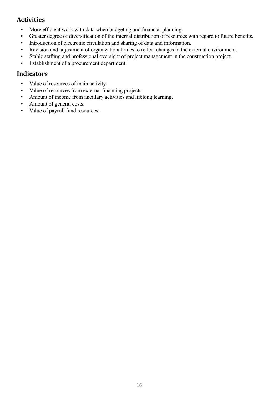# **Activities**

- More efficient work with data when budgeting and financial planning.
- Greater degree of diversification of the internal distribution of resources with regard to future benefits.
- Introduction of electronic circulation and sharing of data and information.
- Revision and adjustment of organizational rules to reflect changes in the external environment.
- Stable staffing and professional oversight of project management in the construction project.
- Establishment of a procurement department.

- Value of resources of main activity.
- Value of resources from external financing projects.
- Amount of income from ancillary activities and lifelong learning.
- Amount of general costs.
- Value of payroll fund resources.